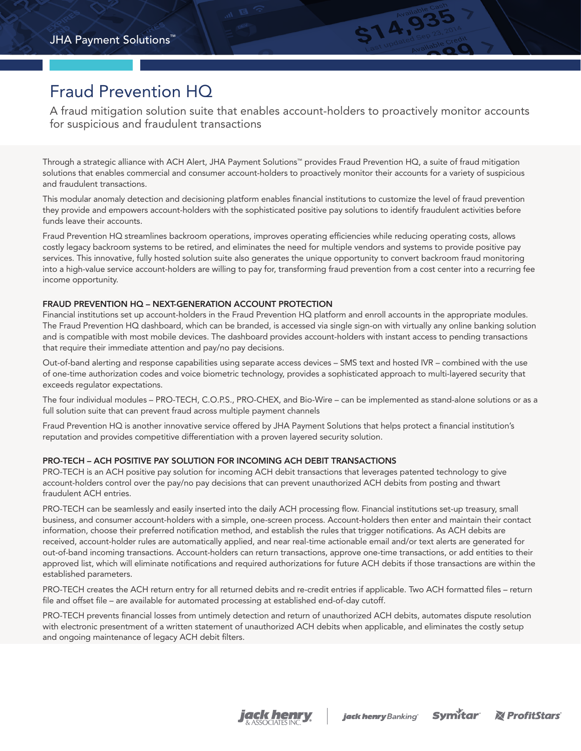# Fraud Prevention HQ

A fraud mitigation solution suite that enables account-holders to proactively monitor accounts for suspicious and fraudulent transactions

**STA, 935** 

Through a strategic alliance with ACH Alert, JHA Payment Solutions™ provides Fraud Prevention HQ, a suite of fraud mitigation solutions that enables commercial and consumer account-holders to proactively monitor their accounts for a variety of suspicious and fraudulent transactions.

This modular anomaly detection and decisioning platform enables financial institutions to customize the level of fraud prevention they provide and empowers account-holders with the sophisticated positive pay solutions to identify fraudulent activities before funds leave their accounts.

Fraud Prevention HQ streamlines backroom operations, improves operating efficiencies while reducing operating costs, allows costly legacy backroom systems to be retired, and eliminates the need for multiple vendors and systems to provide positive pay services. This innovative, fully hosted solution suite also generates the unique opportunity to convert backroom fraud monitoring into a high-value service account-holders are willing to pay for, transforming fraud prevention from a cost center into a recurring fee income opportunity.

### FRAUD PREVENTION HQ – NEXT-GENERATION ACCOUNT PROTECTION

Financial institutions set up account-holders in the Fraud Prevention HQ platform and enroll accounts in the appropriate modules. The Fraud Prevention HQ dashboard, which can be branded, is accessed via single sign-on with virtually any online banking solution and is compatible with most mobile devices. The dashboard provides account-holders with instant access to pending transactions that require their immediate attention and pay/no pay decisions.

Out-of-band alerting and response capabilities using separate access devices – SMS text and hosted IVR – combined with the use of one-time authorization codes and voice biometric technology, provides a sophisticated approach to multi-layered security that exceeds regulator expectations.

The four individual modules – PRO-TECH, C.O.P.S., PRO-CHEX, and Bio-Wire – can be implemented as stand-alone solutions or as a full solution suite that can prevent fraud across multiple payment channels

Fraud Prevention HQ is another innovative service offered by JHA Payment Solutions that helps protect a financial institution's reputation and provides competitive differentiation with a proven layered security solution.

## PRO-TECH – ACH POSITIVE PAY SOLUTION FOR INCOMING ACH DEBIT TRANSACTIONS

PRO-TECH is an ACH positive pay solution for incoming ACH debit transactions that leverages patented technology to give account-holders control over the pay/no pay decisions that can prevent unauthorized ACH debits from posting and thwart fraudulent ACH entries.

PRO-TECH can be seamlessly and easily inserted into the daily ACH processing flow. Financial institutions set-up treasury, small business, and consumer account-holders with a simple, one-screen process. Account-holders then enter and maintain their contact information, choose their preferred notification method, and establish the rules that trigger notifications. As ACH debits are received, account-holder rules are automatically applied, and near real-time actionable email and/or text alerts are generated for out-of-band incoming transactions. Account-holders can return transactions, approve one-time transactions, or add entities to their approved list, which will eliminate notifications and required authorizations for future ACH debits if those transactions are within the established parameters.

PRO-TECH creates the ACH return entry for all returned debits and re-credit entries if applicable. Two ACH formatted files – return file and offset file – are available for automated processing at established end-of-day cutoff.

PRO-TECH prevents financial losses from untimely detection and return of unauthorized ACH debits, automates dispute resolution with electronic presentment of a written statement of unauthorized ACH debits when applicable, and eliminates the costly setup and ongoing maintenance of legacy ACH debit filters.